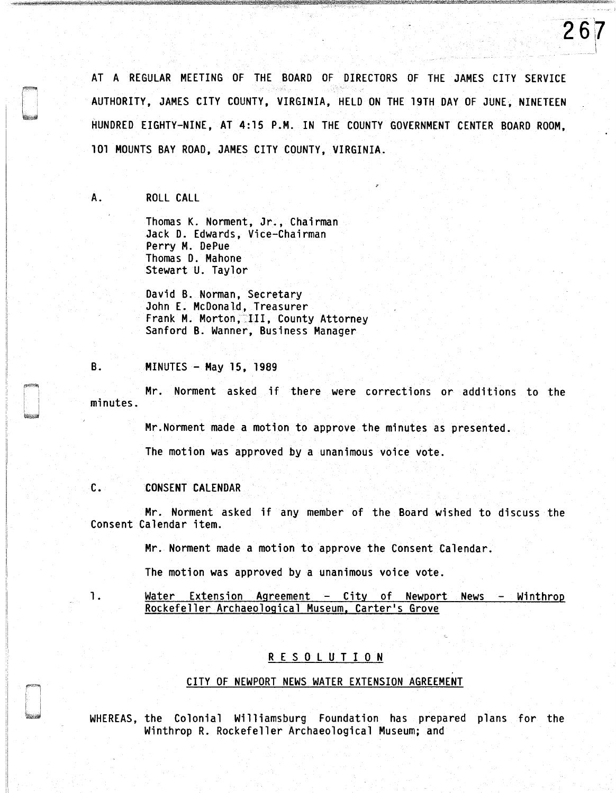AT A REGULAR MEETING OF THE BOARD OF DIRECTORS OF THE JAMES CITY SERVICE AUTHORITY, JAMES CITY COUNTY, VIRGINIA, HELD ON THE 19TH DAY OF JUNE. NINETEEN HUNDRED EIGHTY-NINE, AT 4:15 P.M. IN THE COUNTY GOVERNMENT CENTER BOARD ROOM, 101 MOUNTS BAY ROAD, JAMES CITY COUNTY, VIRGINIA.

267

## A. ROLL CALL

Thomas K. Norment, Jr., Chairman Jack D. Edwards, Vice-Chairman Perry M. DePue Thomas D. Mahone Stewart U. Taylor

David B. Norman, Secretary John E. McDonald, Treasurer Frank M. Morton, III, County Attorney Sanford B. Wanner, Business Manager

### B. MINUTES - May 15, 1989

Mr. Norment asked if there were corrections or additions to the minutes.

Mr.Norment made a motion to approve the minutes as presented.

The motion was approved by a unanimous voice vote.

## C. CONSENT CALENDAR

Mr. Norment asked if any member of the Board wished to discuss the Consent Calendar item.

Mr. Norment made a motion to approve the Consent Calendar.

The motion was approved by a unanimous voice vote.

1. Water Extension Agreement - City of Newport News - Winthrop Rockefeller Archaeological Museum, Carter's Grove

# R E S 0 l U T I 0 N

#### CITY OF NEWPORT NEWS WATER EXTENSION AGREEMENT

WHEREAS, the Colonial Williamsburg Foundation has prepared plans for the Winthrop R. Rockefeller Archaeological Museum; and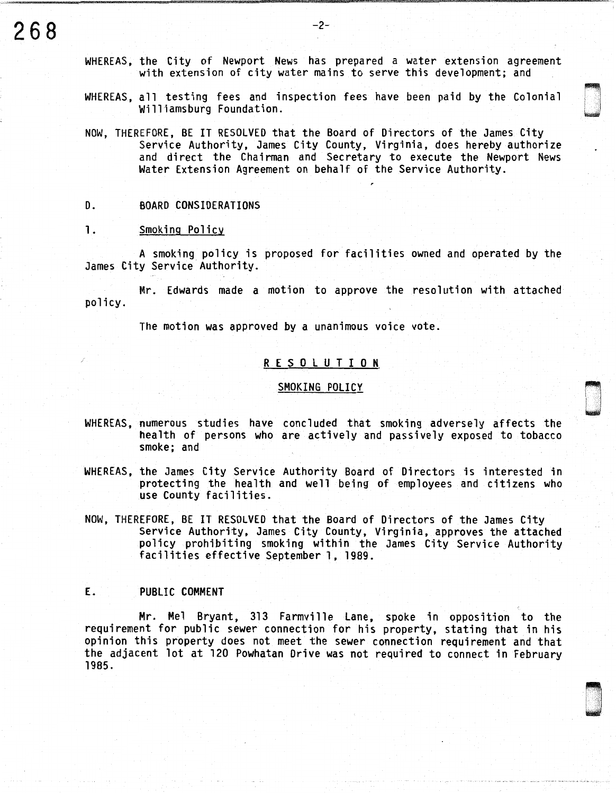WHEREAS, the City of Newport News has prepared a water extension agreement with extension of city water mains to serve this development; and

WHEREAS, all testing fees and inspection fees have been paid by the Colonial Williamsburg Foundation.

ri· **\** 

D . . '

NOW, THEREFORE, BE IT RESOLVED that the Board of Directors of the James City Service Authority, James City County, Virginia, does hereby authorize and direct the Chairman and Secretary to execute the Newport News Water Extension Agreement on behalf of the Service Authority.

### D. BOARD CONSIDERATIONS

#### 1. Smoking Policy

A smoking policy is proposed for facilities owned and operated by the James City Service Authority.

Mr. Edwards made a motion to approve the resolution with attached policy.

The motion was approved by a unanimous voice vote.

### R E S 0 L U T I 0 N

### SMOKING POLICY

- WHEREAS, numerous studies have concluded that smoking adversely affects the health of persons who are actively and passively exposed to tobacco smoke; and
- WHEREAS, the James City Service Authority Board of Directors is interested in protecting the health and well being of employees and citizens who use County facilities.
- NOW, THEREFORE, BE IT RESOLVED that the Board of Directors of the James City Service Authority, James City County, Virginia, approves the attached policy prohibiting smoking within the James City Service Authority facilities effective September l, 1989.

## E. PUBLIC COMMENT

Mr. Mel Bryant, 313 Farmville Lane, spoke in opposition to the requirement for public sewer connection for his property, stating that in his opinion this property does not meet the sewer connection requirement and that the adjacent lot at 120 Powhatan Drive was not required to connect in February 1985.

 $-{\bf 1}$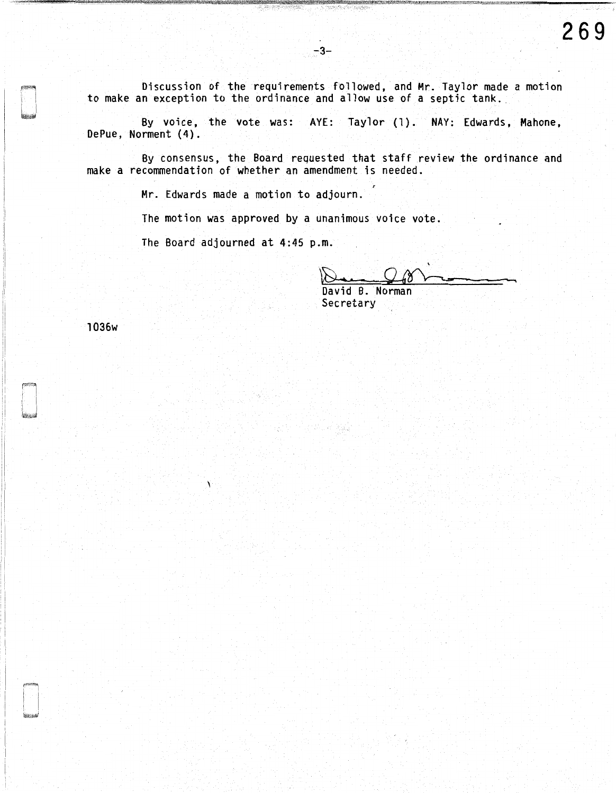Discussion of the requirements followed, and Mr. Taylor made a motion to make an exception to the ordinance and allow use of a septic tank.

By voice, the vote was: AYE: Taylor (1). NAY: Edwards, Mahone, DePue, Norment (4).

By consensus, the Board requested that staff review the ordinance and make a recommendation of whether an amendment is needed.

Mr. Edwards made a motion to adjourn.

The motion was approved by a unanimous voice vote.

The Board adjourned at 4:45 p.m.

'  $Q_4$ 8 -

David B. Norman Secretary

o an Raig

1036w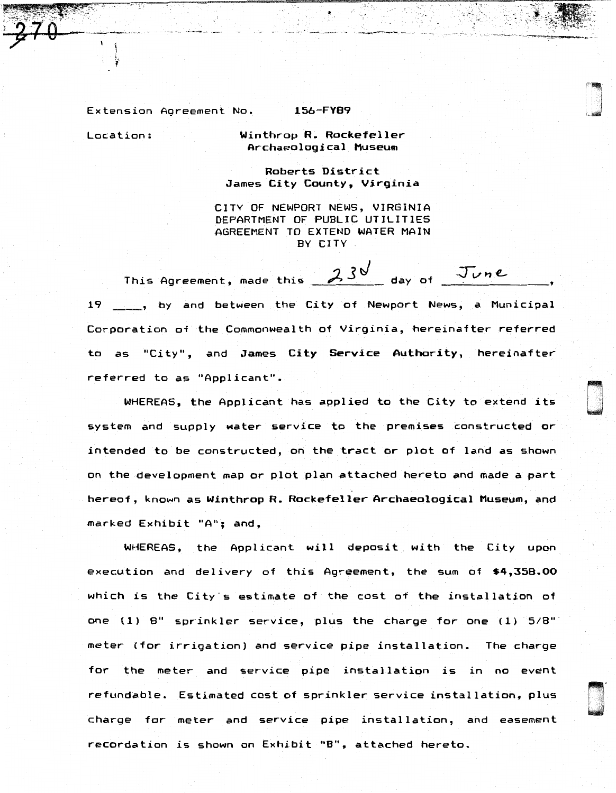Extension Agreement No. 156-FY89

!0!!1!!!! I!t "··. ij!16&!Jilii!M:~~ h%' \_ W~®f1i'11<\$.f"""i1iM"""";;·~ ... }!""'-.%"---.""'-"",•.:-illfi~'q-~--~-:;f-'f]j;\{j,~

": -~: ~.J:~~~j;,<~ ~~--·-

**Deserte**<br>Deserte

'

.<br>.<br>.<br>.

Location: Winthrop R. Rockefeller Archaeological Museum

> Roberts District James City County, Virginia

CITY OF NEWPORT NEWS, VIRGINIA DEPARTMENT OF PUBLIC UTILITIES AGREEMENT TO EXTEND WATER MAIN BY CITY

This Agreement, made this  $\frac{230}{100}$  day of June 19 \_\_\_ , by and between the City of Newport News, a Municipal Corporation of the Commonwealth of Virginia, hereinafter referred to as "City", and James City Service Authority, hereinafter referred to as "Applicant".

WHEREAS, the Applicant has applied to the City to extend its system and supply water service to the premises constructed or intended to be constructed, on the tract or plot of land as shown on the development map or plot plan attached hereto and made a part hereof, known as Winthrop R. Rockefeller Archaeological Museum, and marked Exhibit "A"; and,

WHEREAS, the Applicant will deposit with the City upon execution and delivery of this Agreement, the sum of \$4,358.00 which is the City's estimate of the cost of the installation of one  $(1)$  8" sprinkler service, plus the charge for one  $(1)$   $5/8"$ meter (for irrigation) and service pipe installation. The charge for- the meter and service pipe installation is in no event refundable. Estimated cost of sprinkler service installation, plus charge for meter and service pipe installation, and easement recordation is shown on Exhibit "B", attached hereto.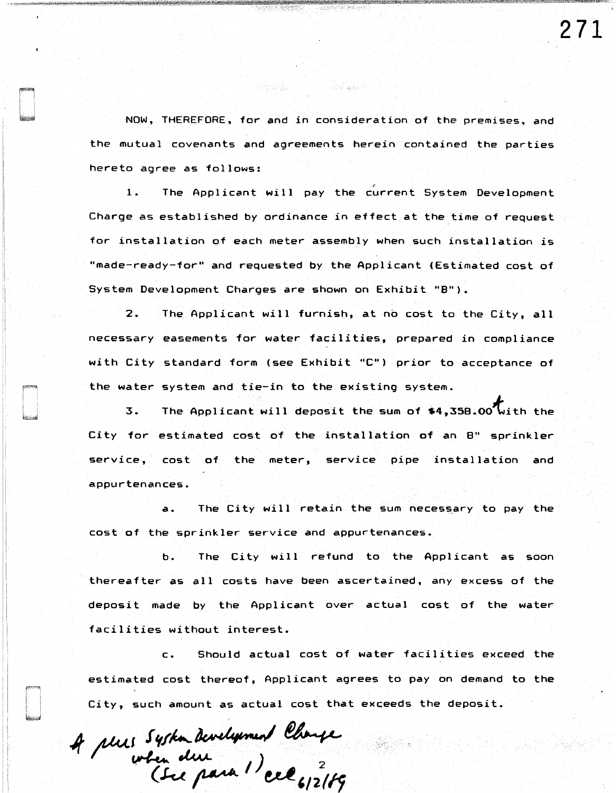NOW, THEREFORE. for and in consideration of the premises, and the mutual covenants and agreements herein contained the parties hereto agree as follows:

أوالمهلهب أتعالمه

i iyay ugibor.

1. The Applicant will pay the current System Development Charge as established by ordinance in effect at the time of request for installation of each meter assembly when such installation is "made-ready-for" and requested by the Applicant {Estimated cost of System Development Charges are shown on Exhibit "8").

2. The Applicant will furnish, at no cost to the City, all necessary easements for water facilities, prepared in compliance with City standard form (see Exhibit "C'') prior to acceptance of the water system and tie-in to the existing system.

3. The Applicant will deposit the sum of \$4,358.00 with the City for estimated cost of the installation of an 8" sprinkler service, cost of the meter, service pipe installation and appurtenances.

a. The City will retain the sum necessary to pay the cost of the sprinkler service and appurtenances.

b. The City will refund to the Applicant as soon thereafter as all costs have been ascertained, any excess of the deposit made by the Applicant over actual cost of the water facilities without interest.

c. Should actual cost of water facilities exceed the estimated cost thereof, Applicant agrees to pay on demand to the City, such amount as actual cost that exceeds the deposit.

A plus System Development Change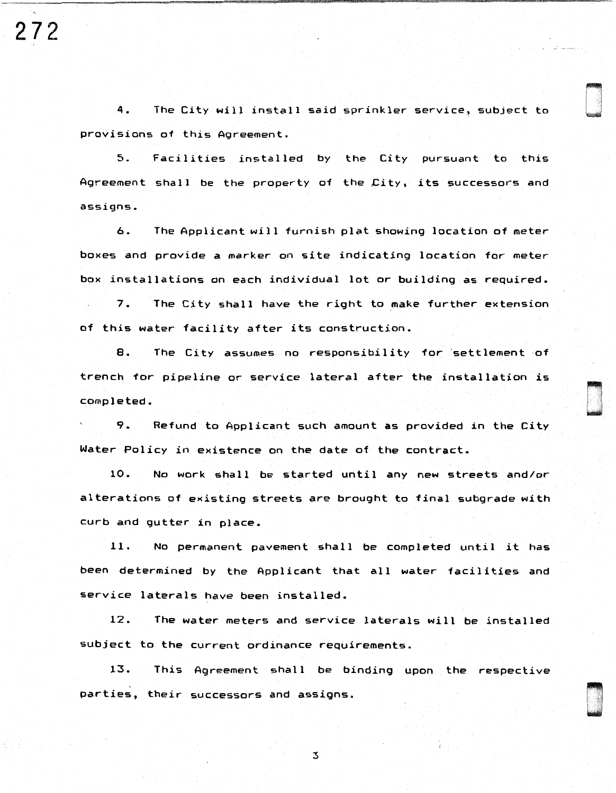**272** 

4. The City will install said sprinkler service, subject to provisions of this Agreement.

5. Facilities installed by the City pursuant to this Agreement shall be the property of the City, its successors and assigns.

6. The Applicant will furnish plat showing location of meter boxes and provide a marker on site indicating location for meter box installations on each individual lot or building as required.

7. The City shall have the right to make further extension of this water facility after its construction.

8. The City assumes no responsibility for settlement of trench for pipeline or service lateral after the installation is completed.<br>9. Refund to Applicant such amount as provided in the City

Water Policy in existence on the date of the contract.

10. No work shall be started until any new streets and/or alterations of existing streets are brought to final subgrade with curb and gutter in place.

11. No permanent pavement shall be completed until it has been determined by the Applicant that all water facilities and service laterals have been installed.

12. The water meters and service laterals will be installed subject to the current ordinance requirements.

13. This Agreement shall be binding upon the respective parties, their successors and assigns.

3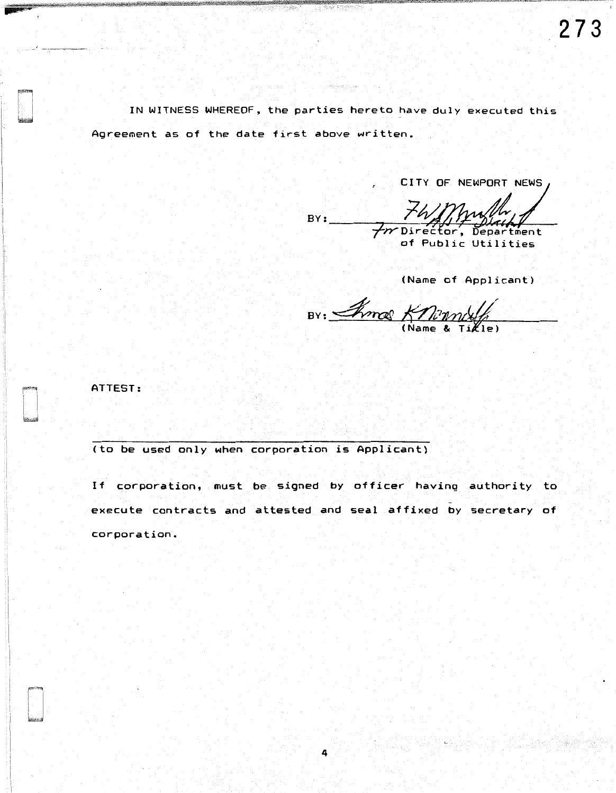IN WITNESS WHEREOF, the parties hereto have duly executed this Agreement as of the date first above written.

CITY OF NEWPORT NEWS

74/Mullet  $BY:$ 

(Name of Applicant)

BY: Inno Knowledge

ATTEST:

(to be used only when corporation is Applicant)

If corporation, must be signed by officer having authority to execute contracts and attested and seal affixed by secretary of corporation.

4